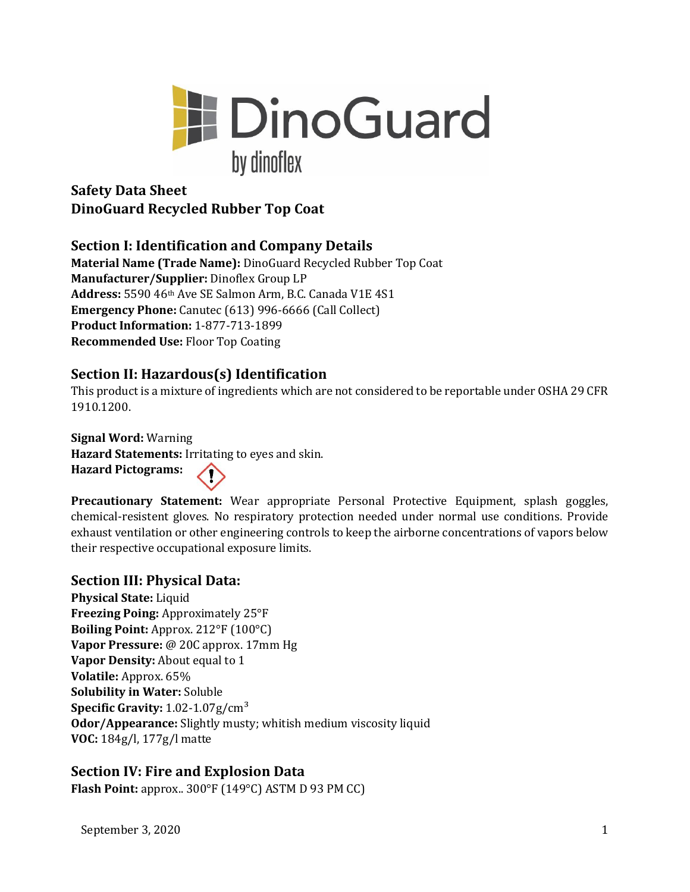

# **Safety Data Sheet DinoGuard Recycled Rubber Top Coat**

# **Section I: Identification and Company Details**

**Material Name (Trade Name):** DinoGuard Recycled Rubber Top Coat **Manufacturer/Supplier:** Dinoflex Group LP **Address:** 5590 46th Ave SE Salmon Arm, B.C. Canada V1E 4S1 **Emergency Phone:** Canutec (613) 996-6666 (Call Collect) **Product Information:** 1-877-713-1899 **Recommended Use:** Floor Top Coating

# **Section II: Hazardous(s) Identification**

This product is a mixture of ingredients which are not considered to be reportable under OSHA 29 CFR 1910.1200.

**Signal Word:** Warning **Hazard Statements:** Irritating to eyes and skin. **Hazard Pictograms:** 

**Precautionary Statement:** Wear appropriate Personal Protective Equipment, splash goggles, chemical-resistent gloves. No respiratory protection needed under normal use conditions. Provide exhaust ventilation or other engineering controls to keep the airborne concentrations of vapors below their respective occupational exposure limits.

# **Section III: Physical Data:**

**Physical State:** Liquid **Freezing Poing:** Approximately 25°F **Boiling Point:** Approx. 212°F (100°C) **Vapor Pressure:** @ 20C approx. 17mm Hg **Vapor Density:** About equal to 1 **Volatile:** Approx. 65% **Solubility in Water:** Soluble **Specific Gravity:** 1.02-1.07g/cm³ **Odor/Appearance:** Slightly musty; whitish medium viscosity liquid **VOC:** 184g/l, 177g/l matte

# **Section IV: Fire and Explosion Data**

**Flash Point:** approx.. 300°F (149°C) ASTM D 93 PM CC)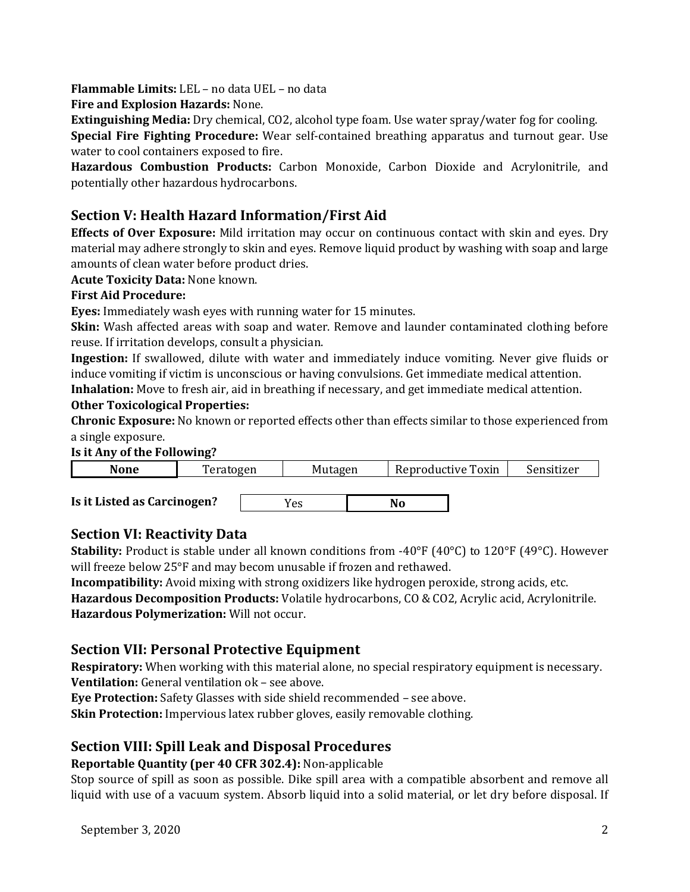**Flammable Limits:** LEL – no data UEL – no data

**Fire and Explosion Hazards:** None.

**Extinguishing Media:** Dry chemical, CO2, alcohol type foam. Use water spray/water fog for cooling.

**Special Fire Fighting Procedure:** Wear self-contained breathing apparatus and turnout gear. Use water to cool containers exposed to fire.

**Hazardous Combustion Products:** Carbon Monoxide, Carbon Dioxide and Acrylonitrile, and potentially other hazardous hydrocarbons.

# **Section V: Health Hazard Information/First Aid**

**Effects of Over Exposure:** Mild irritation may occur on continuous contact with skin and eyes. Dry material may adhere strongly to skin and eyes. Remove liquid product by washing with soap and large amounts of clean water before product dries.

**Acute Toxicity Data:** None known.

#### **First Aid Procedure:**

**Eyes:** Immediately wash eyes with running water for 15 minutes.

**Skin:** Wash affected areas with soap and water. Remove and launder contaminated clothing before reuse. If irritation develops, consult a physician.

**Ingestion:** If swallowed, dilute with water and immediately induce vomiting. Never give fluids or induce vomiting if victim is unconscious or having convulsions. Get immediate medical attention.

**Inhalation:** Move to fresh air, aid in breathing if necessary, and get immediate medical attention.

### **Other Toxicological Properties:**

**Chronic Exposure:** No known or reported effects other than effects similar to those experienced from a single exposure.

#### **Is it Any of the Following?**



### **Section VI: Reactivity Data**

**Stability:** Product is stable under all known conditions from -40°F (40°C) to 120°F (49°C). However will freeze below 25°F and may becom unusable if frozen and rethawed.

**Incompatibility:** Avoid mixing with strong oxidizers like hydrogen peroxide, strong acids, etc. **Hazardous Decomposition Products:** Volatile hydrocarbons, CO & CO2, Acrylic acid, Acrylonitrile. **Hazardous Polymerization:** Will not occur.

### **Section VII: Personal Protective Equipment**

**Respiratory:** When working with this material alone, no special respiratory equipment is necessary. **Ventilation:** General ventilation ok – see above.

**Eye Protection:** Safety Glasses with side shield recommended – see above.

**Skin Protection:** Impervious latex rubber gloves, easily removable clothing.

# **Section VIII: Spill Leak and Disposal Procedures**

#### **Reportable Quantity (per 40 CFR 302.4):** Non-applicable

Stop source of spill as soon as possible. Dike spill area with a compatible absorbent and remove all liquid with use of a vacuum system. Absorb liquid into a solid material, or let dry before disposal. If